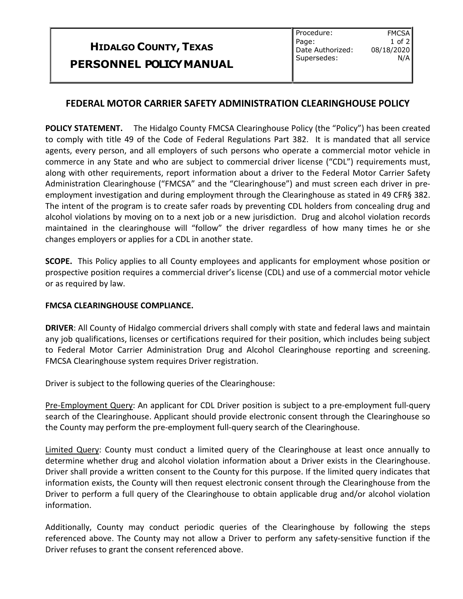## **HIDALGO COUNTY, TEXAS PERSONNEL POLICYMANUAL**

**FMCSA** 1 of 2

N/A

## **FEDERAL MOTOR CARRIER SAFETY ADMINISTRATION CLEARINGHOUSE POLICY**

**POLICY STATEMENT.** The Hidalgo County FMCSA Clearinghouse Policy (the "Policy") has been created to comply with title 49 of the Code of Federal Regulations Part 382. It is mandated that all service agents, every person, and all employers of such persons who operate a commercial motor vehicle in commerce in any State and who are subject to commercial driver license ("CDL") requirements must, along with other requirements, report information about a driver to the Federal Motor Carrier Safety Administration Clearinghouse ("FMCSA" and the "Clearinghouse") and must screen each driver in preemployment investigation and during employment through the Clearinghouse as stated in 49 CFR§ 382. The intent of the program is to create safer roads by preventing CDL holders from concealing drug and alcohol violations by moving on to a next job or a new jurisdiction. Drug and alcohol violation records maintained in the clearinghouse will "follow" the driver regardless of how many times he or she changes employers or applies for a CDL in another state.

**SCOPE.** This Policy applies to all County employees and applicants for employment whose position or prospective position requires a commercial driver's license (CDL) and use of a commercial motor vehicle or as required by law.

## **FMCSA CLEARINGHOUSE COMPLIANCE.**

**DRIVER**: All County of Hidalgo commercial drivers shall comply with state and federal laws and maintain any job qualifications, licenses or certifications required for their position, which includes being subject to Federal Motor Carrier Administration Drug and Alcohol Clearinghouse reporting and screening. FMCSA Clearinghouse system requires Driver registration.

Driver is subject to the following queries of the Clearinghouse:

Pre-Employment Query: An applicant for CDL Driver position is subject to a pre-employment full-query search of the Clearinghouse. Applicant should provide electronic consent through the Clearinghouse so the County may perform the pre-employment full-query search of the Clearinghouse.

Limited Query: County must conduct a limited query of the Clearinghouse at least once annually to determine whether drug and alcohol violation information about a Driver exists in the Clearinghouse. Driver shall provide a written consent to the County for this purpose. If the limited query indicates that information exists, the County will then request electronic consent through the Clearinghouse from the Driver to perform a full query of the Clearinghouse to obtain applicable drug and/or alcohol violation information.

Additionally, County may conduct periodic queries of the Clearinghouse by following the steps referenced above. The County may not allow a Driver to perform any safety-sensitive function if the Driver refuses to grant the consent referenced above.